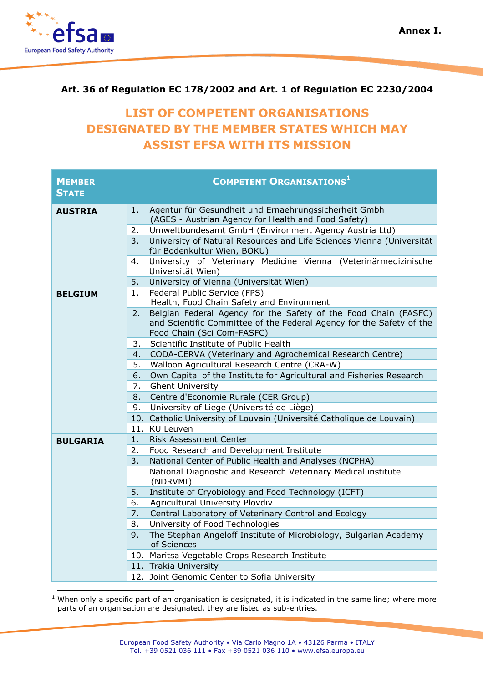

## **Art. 36 of Regulation EC 178/2002 and Art. 1 of Regulation EC 2230/2004**

## **LIST OF COMPETENT ORGANISATIONS DESIGNATED BY THE MEMBER STATES WHICH MAY ASSIST EFSA WITH ITS MISSION**

| <b>MEMBER</b><br><b>STATE</b> |          | <b>COMPETENT ORGANISATIONS</b> <sup>1</sup>                                                                                                                           |
|-------------------------------|----------|-----------------------------------------------------------------------------------------------------------------------------------------------------------------------|
| <b>AUSTRIA</b>                | 1.       | Agentur für Gesundheit und Ernaehrungssicherheit Gmbh                                                                                                                 |
|                               |          | (AGES - Austrian Agency for Health and Food Safety)                                                                                                                   |
|                               | 2.<br>3. | Umweltbundesamt GmbH (Environment Agency Austria Ltd)<br>University of Natural Resources and Life Sciences Vienna (Universität                                        |
|                               |          | für Bodenkultur Wien, BOKU)                                                                                                                                           |
|                               | 4.       | University of Veterinary Medicine Vienna (Veterinärmedizinische<br>Universität Wien)                                                                                  |
|                               | 5.       | University of Vienna (Universität Wien)                                                                                                                               |
| <b>BELGIUM</b>                | 1.       | Federal Public Service (FPS)<br>Health, Food Chain Safety and Environment                                                                                             |
|                               | 2.       | Belgian Federal Agency for the Safety of the Food Chain (FASFC)<br>and Scientific Committee of the Federal Agency for the Safety of the<br>Food Chain (Sci Com-FASFC) |
|                               | 3.       | Scientific Institute of Public Health                                                                                                                                 |
|                               | 4.       | CODA-CERVA (Veterinary and Agrochemical Research Centre)                                                                                                              |
|                               | 5.       | Walloon Agricultural Research Centre (CRA-W)                                                                                                                          |
|                               | 6.       | Own Capital of the Institute for Agricultural and Fisheries Research                                                                                                  |
|                               | 7.       | <b>Ghent University</b>                                                                                                                                               |
|                               | 8.       | Centre d'Economie Rurale (CER Group)                                                                                                                                  |
|                               | 9.       | University of Liege (Université de Liège)                                                                                                                             |
|                               |          | 10. Catholic University of Louvain (Université Catholique de Louvain)                                                                                                 |
|                               |          | 11. KU Leuven                                                                                                                                                         |
| <b>BULGARIA</b>               | 1.       | <b>Risk Assessment Center</b>                                                                                                                                         |
|                               | 2.       | Food Research and Development Institute                                                                                                                               |
|                               | 3.       | National Center of Public Health and Analyses (NCPHA)                                                                                                                 |
|                               |          | National Diagnostic and Research Veterinary Medical institute<br>(NDRVMI)                                                                                             |
|                               | 5.       | Institute of Cryobiology and Food Technology (ICFT)                                                                                                                   |
|                               | 6.       | Agricultural University Plovdiv                                                                                                                                       |
|                               | 7.       | Central Laboratory of Veterinary Control and Ecology                                                                                                                  |
|                               | 8.       | University of Food Technologies                                                                                                                                       |
|                               | 9.       | The Stephan Angeloff Institute of Microbiology, Bulgarian Academy<br>of Sciences                                                                                      |
|                               |          | 10. Maritsa Vegetable Crops Research Institute                                                                                                                        |
|                               |          | 11. Trakia University                                                                                                                                                 |
|                               |          | 12. Joint Genomic Center to Sofia University                                                                                                                          |
|                               |          |                                                                                                                                                                       |

 $1$  When only a specific part of an organisation is designated, it is indicated in the same line; where more parts of an organisation are designated, they are listed as sub-entries.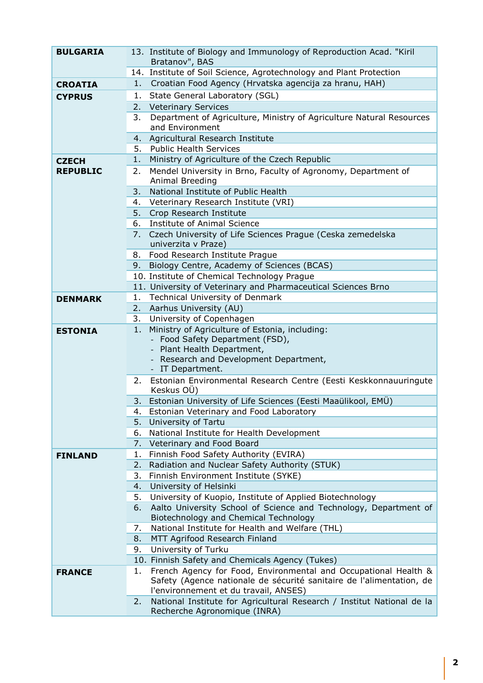| <b>BULGARIA</b> |    | 13. Institute of Biology and Immunology of Reproduction Acad. "Kiril<br>Bratanov", BAS |
|-----------------|----|----------------------------------------------------------------------------------------|
|                 |    | 14. Institute of Soil Science, Agrotechnology and Plant Protection                     |
| <b>CROATIA</b>  | 1. | Croatian Food Agency (Hrvatska agencija za hranu, HAH)                                 |
| <b>CYPRUS</b>   |    | 1. State General Laboratory (SGL)                                                      |
|                 |    | 2. Veterinary Services                                                                 |
|                 | 3. | Department of Agriculture, Ministry of Agriculture Natural Resources                   |
|                 |    | and Environment                                                                        |
|                 |    | 4. Agricultural Research Institute                                                     |
|                 |    | 5. Public Health Services                                                              |
| <b>CZECH</b>    | 1. | Ministry of Agriculture of the Czech Republic                                          |
| <b>REPUBLIC</b> | 2. | Mendel University in Brno, Faculty of Agronomy, Department of                          |
|                 |    | Animal Breeding                                                                        |
|                 | 3. | National Institute of Public Health                                                    |
|                 |    | 4. Veterinary Research Institute (VRI)                                                 |
|                 |    | 5. Crop Research Institute                                                             |
|                 |    | 6. Institute of Animal Science                                                         |
|                 | 7. | Czech University of Life Sciences Prague (Ceska zemedelska                             |
|                 |    | univerzita v Praze)                                                                    |
|                 |    | 8. Food Research Institute Prague                                                      |
|                 |    | 9. Biology Centre, Academy of Sciences (BCAS)                                          |
|                 |    | 10. Institute of Chemical Technology Prague                                            |
|                 |    | 11. University of Veterinary and Pharmaceutical Sciences Brno                          |
| <b>DENMARK</b>  | 1. | Technical University of Denmark                                                        |
|                 |    | 2. Aarhus University (AU)                                                              |
|                 |    | 3. University of Copenhagen                                                            |
| <b>ESTONIA</b>  | 1. | Ministry of Agriculture of Estonia, including:                                         |
|                 |    | - Food Safety Department (FSD),                                                        |
|                 |    | - Plant Health Department,                                                             |
|                 |    | - Research and Development Department,<br>- IT Department.                             |
|                 |    |                                                                                        |
|                 |    | 2. Estonian Environmental Research Centre (Eesti Keskkonnauuringute<br>Keskus OÜ)      |
|                 |    | 3. Estonian University of Life Sciences (Eesti Maaülikool, EMÜ)                        |
|                 | 4. | Estonian Veterinary and Food Laboratory                                                |
|                 | 5. | University of Tartu                                                                    |
|                 | 6. | National Institute for Health Development                                              |
|                 | 7. | Veterinary and Food Board                                                              |
| <b>FINLAND</b>  | 1. | Finnish Food Safety Authority (EVIRA)                                                  |
|                 | 2. | Radiation and Nuclear Safety Authority (STUK)                                          |
|                 | 3. | Finnish Environment Institute (SYKE)                                                   |
|                 | 4. | University of Helsinki                                                                 |
|                 | 5. | University of Kuopio, Institute of Applied Biotechnology                               |
|                 | 6. | Aalto University School of Science and Technology, Department of                       |
|                 |    | Biotechnology and Chemical Technology                                                  |
|                 | 7. | National Institute for Health and Welfare (THL)                                        |
|                 | 8. | MTT Agrifood Research Finland                                                          |
|                 | 9. | University of Turku                                                                    |
|                 |    | 10. Finnish Safety and Chemicals Agency (Tukes)                                        |
| <b>FRANCE</b>   | 1. | French Agency for Food, Environmental and Occupational Health &                        |
|                 |    | Safety (Agence nationale de sécurité sanitaire de l'alimentation, de                   |
|                 |    | l'environnement et du travail, ANSES)                                                  |
|                 | 2. | National Institute for Agricultural Research / Institut National de la                 |
|                 |    | Recherche Agronomique (INRA)                                                           |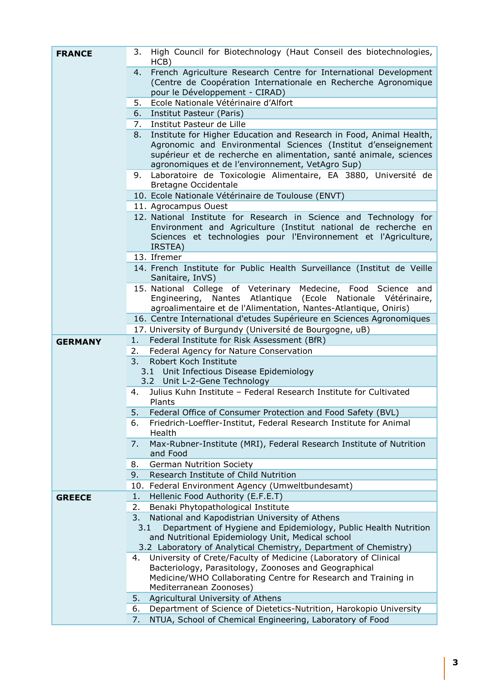| <b>FRANCE</b>  | 3.  | High Council for Biotechnology (Haut Conseil des biotechnologies,<br>HCB)                                                                                                                                                                                      |
|----------------|-----|----------------------------------------------------------------------------------------------------------------------------------------------------------------------------------------------------------------------------------------------------------------|
|                | 4.  | French Agriculture Research Centre for International Development<br>(Centre de Coopération Internationale en Recherche Agronomique<br>pour le Développement - CIRAD)                                                                                           |
|                | 5.  | Ecole Nationale Vétérinaire d'Alfort                                                                                                                                                                                                                           |
|                | 6.  | Institut Pasteur (Paris)                                                                                                                                                                                                                                       |
|                |     | 7. Institut Pasteur de Lille                                                                                                                                                                                                                                   |
|                | 8.  | Institute for Higher Education and Research in Food, Animal Health,<br>Agronomic and Environmental Sciences (Institut d'enseignement<br>supérieur et de recherche en alimentation, santé animale, sciences<br>agronomiques et de l'environnement, VetAgro Sup) |
|                | 9.  | Laboratoire de Toxicologie Alimentaire, EA 3880, Université de<br>Bretagne Occidentale                                                                                                                                                                         |
|                |     | 10. Ecole Nationale Vétérinaire de Toulouse (ENVT)                                                                                                                                                                                                             |
|                |     | 11. Agrocampus Ouest                                                                                                                                                                                                                                           |
|                |     | 12. National Institute for Research in Science and Technology for<br>Environment and Agriculture (Institut national de recherche en<br>Sciences et technologies pour l'Environnement et l'Agriculture,<br>IRSTEA)                                              |
|                |     | 13. Ifremer                                                                                                                                                                                                                                                    |
|                |     | 14. French Institute for Public Health Surveillance (Institut de Veille<br>Sanitaire, InVS)                                                                                                                                                                    |
|                |     | 15. National College of Veterinary<br>Medecine, Food Science<br>and<br>Engineering, Nantes Atlantique<br>(Ecole Nationale Vétérinaire,<br>agroalimentaire et de l'Alimentation, Nantes-Atlantique, Oniris)                                                     |
|                |     | 16. Centre International d'etudes Supérieure en Sciences Agronomiques                                                                                                                                                                                          |
|                |     | 17. University of Burgundy (Université de Bourgogne, uB)                                                                                                                                                                                                       |
| <b>GERMANY</b> | 1.  | Federal Institute for Risk Assessment (BfR)                                                                                                                                                                                                                    |
|                | 2.  | Federal Agency for Nature Conservation                                                                                                                                                                                                                         |
|                | 3.  | Robert Koch Institute                                                                                                                                                                                                                                          |
|                |     |                                                                                                                                                                                                                                                                |
|                |     | 3.1 Unit Infectious Disease Epidemiology                                                                                                                                                                                                                       |
|                | 4.  | 3.2 Unit L-2-Gene Technology<br>Julius Kuhn Institute - Federal Research Institute for Cultivated                                                                                                                                                              |
|                |     | Plants                                                                                                                                                                                                                                                         |
|                | 5.  | Federal Office of Consumer Protection and Food Safety (BVL)                                                                                                                                                                                                    |
|                | 6.  | Friedrich-Loeffler-Institut, Federal Research Institute for Animal<br>Health                                                                                                                                                                                   |
|                | 7.  | Max-Rubner-Institute (MRI), Federal Research Institute of Nutrition<br>and Food                                                                                                                                                                                |
|                | 8.  | <b>German Nutrition Society</b>                                                                                                                                                                                                                                |
|                | 9.  | Research Institute of Child Nutrition                                                                                                                                                                                                                          |
|                |     | 10. Federal Environment Agency (Umweltbundesamt)                                                                                                                                                                                                               |
| <b>GREECE</b>  | 1.  | Hellenic Food Authority (E.F.E.T)                                                                                                                                                                                                                              |
|                | 2.  | Benaki Phytopathological Institute                                                                                                                                                                                                                             |
|                | 3.  | National and Kapodistrian University of Athens                                                                                                                                                                                                                 |
|                | 3.1 | Department of Hygiene and Epidemiology, Public Health Nutrition                                                                                                                                                                                                |
|                |     | and Nutritional Epidemiology Unit, Medical school                                                                                                                                                                                                              |
|                |     | 3.2 Laboratory of Analytical Chemistry, Department of Chemistry)                                                                                                                                                                                               |
|                | 4.  | University of Crete/Faculty of Medicine (Laboratory of Clinical                                                                                                                                                                                                |
|                |     | Bacteriology, Parasitology, Zoonoses and Geographical                                                                                                                                                                                                          |
|                |     | Medicine/WHO Collaborating Centre for Research and Training in<br>Mediterranean Zoonoses)                                                                                                                                                                      |
|                | 5.  | Agricultural University of Athens                                                                                                                                                                                                                              |
|                | 6.  | Department of Science of Dietetics-Nutrition, Harokopio University                                                                                                                                                                                             |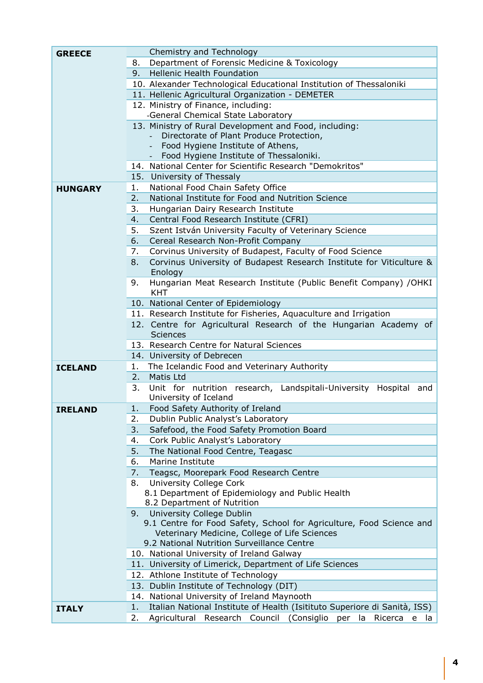| <b>GREECE</b>  | Chemistry and Technology                                                                 |
|----------------|------------------------------------------------------------------------------------------|
|                | Department of Forensic Medicine & Toxicology<br>8.                                       |
|                | <b>Hellenic Health Foundation</b><br>9.                                                  |
|                | 10. Alexander Technological Educational Institution of Thessaloniki                      |
|                | 11. Hellenic Agricultural Organization - DEMETER                                         |
|                | 12. Ministry of Finance, including:                                                      |
|                | -General Chemical State Laboratory                                                       |
|                | 13. Ministry of Rural Development and Food, including:                                   |
|                | Directorate of Plant Produce Protection,                                                 |
|                | Food Hygiene Institute of Athens,                                                        |
|                | Food Hygiene Institute of Thessaloniki.                                                  |
|                | 14. National Center for Scientific Research "Demokritos"                                 |
|                | 15. University of Thessaly                                                               |
| <b>HUNGARY</b> | National Food Chain Safety Office<br>1.                                                  |
|                | National Institute for Food and Nutrition Science<br>2.                                  |
|                | 3.<br>Hungarian Dairy Research Institute                                                 |
|                | Central Food Research Institute (CFRI)<br>4.                                             |
|                | 5.<br>Szent István University Faculty of Veterinary Science                              |
|                | 6.<br>Cereal Research Non-Profit Company                                                 |
|                | Corvinus University of Budapest, Faculty of Food Science<br>7.                           |
|                | 8.<br>Corvinus University of Budapest Research Institute for Viticulture &<br>Enology    |
|                | Hungarian Meat Research Institute (Public Benefit Company) /OHKI<br>9.<br><b>KHT</b>     |
|                | 10. National Center of Epidemiology                                                      |
|                | 11. Research Institute for Fisheries, Aquaculture and Irrigation                         |
|                | 12. Centre for Agricultural Research of the Hungarian Academy of                         |
|                | <b>Sciences</b>                                                                          |
|                | 13. Research Centre for Natural Sciences                                                 |
|                | 14. University of Debrecen                                                               |
| <b>ICELAND</b> | The Icelandic Food and Veterinary Authority<br>1.                                        |
|                | Matis Ltd<br>2.                                                                          |
|                | 3.<br>Unit for nutrition research, Landspitali-University Hospital<br>and                |
|                | University of Iceland                                                                    |
| <b>IRELAND</b> | Food Safety Authority of Ireland<br>1.                                                   |
|                | Dublin Public Analyst's Laboratory<br>2.                                                 |
|                | 3.<br>Safefood, the Food Safety Promotion Board                                          |
|                | Cork Public Analyst's Laboratory<br>4.                                                   |
|                | 5.<br>The National Food Centre, Teagasc                                                  |
|                | 6.<br>Marine Institute                                                                   |
|                | Teagsc, Moorepark Food Research Centre<br>7.                                             |
|                | <b>University College Cork</b><br>8.<br>8.1 Department of Epidemiology and Public Health |
|                | 8.2 Department of Nutrition                                                              |
|                | University College Dublin<br>9.                                                          |
|                | 9.1 Centre for Food Safety, School for Agriculture, Food Science and                     |
|                | Veterinary Medicine, College of Life Sciences                                            |
|                | 9.2 National Nutrition Surveillance Centre                                               |
|                | 10. National University of Ireland Galway                                                |
|                | 11. University of Limerick, Department of Life Sciences                                  |
|                | 12. Athlone Institute of Technology                                                      |
|                | 13. Dublin Institute of Technology (DIT)                                                 |
|                | 14. National University of Ireland Maynooth                                              |
| <b>ITALY</b>   | Italian National Institute of Health (Isitituto Superiore di Sanità, ISS)<br>1.          |
|                | Agricultural Research Council<br>2.<br>(Consiglio per<br>Ricerca<br>- Ia<br>la<br>e      |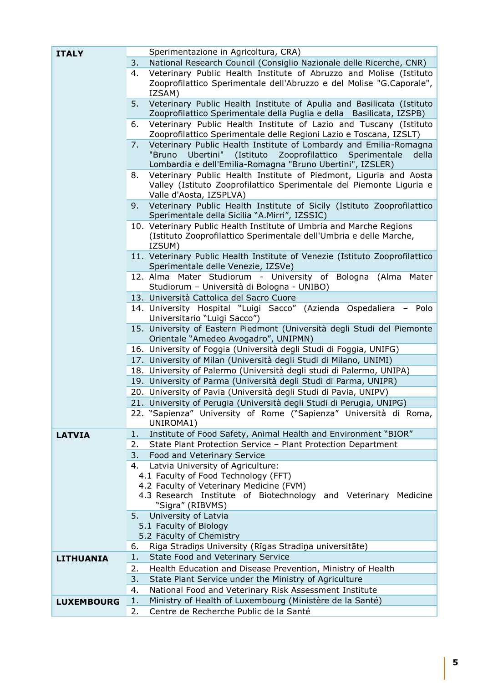| <b>ITALY</b>      | Sperimentazione in Agricoltura, CRA)                                                                                                      |
|-------------------|-------------------------------------------------------------------------------------------------------------------------------------------|
|                   | National Research Council (Consiglio Nazionale delle Ricerche, CNR)<br>3.                                                                 |
|                   | Veterinary Public Health Institute of Abruzzo and Molise (Istituto<br>4.                                                                  |
|                   | Zooprofilattico Sperimentale dell'Abruzzo e del Molise "G.Caporale",                                                                      |
|                   | IZSAM)                                                                                                                                    |
|                   | Veterinary Public Health Institute of Apulia and Basilicata (Istituto<br>5.                                                               |
|                   | Zooprofilattico Sperimentale della Puglia e della Basilicata, IZSPB)                                                                      |
|                   | Veterinary Public Health Institute of Lazio and Tuscany (Istituto<br>6.                                                                   |
|                   | Zooprofilattico Sperimentale delle Regioni Lazio e Toscana, IZSLT)                                                                        |
|                   | Veterinary Public Health Institute of Lombardy and Emilia-Romagna<br>7.                                                                   |
|                   | "Bruno<br>Ubertini"<br>(Istituto<br>Zooprofilattico<br>Sperimentale<br>della<br>Lombardia e dell'Emilia-Romagna "Bruno Ubertini", IZSLER) |
|                   | Veterinary Public Health Institute of Piedmont, Liguria and Aosta<br>8.                                                                   |
|                   | Valley (Istituto Zooprofilattico Sperimentale del Piemonte Liguria e                                                                      |
|                   | Valle d'Aosta, IZSPLVA)                                                                                                                   |
|                   | Veterinary Public Health Institute of Sicily (Istituto Zooprofilattico<br>9.                                                              |
|                   | Sperimentale della Sicilia "A.Mirri", IZSSIC)                                                                                             |
|                   | 10. Veterinary Public Health Institute of Umbria and Marche Regions                                                                       |
|                   | (Istituto Zooprofilattico Sperimentale dell'Umbria e delle Marche,                                                                        |
|                   | IZSUM)                                                                                                                                    |
|                   | 11. Veterinary Public Health Institute of Venezie (Istituto Zooprofilattico                                                               |
|                   | Sperimentale delle Venezie, IZSVe)<br>12. Alma Mater Studiorum - University of Bologna (Alma                                              |
|                   | Mater<br>Studiorum - Università di Bologna - UNIBO)                                                                                       |
|                   | 13. Università Cattolica del Sacro Cuore                                                                                                  |
|                   | 14. University Hospital "Luigi Sacco" (Azienda Ospedaliera<br>Polo<br>-                                                                   |
|                   | Universitario "Luigi Sacco")                                                                                                              |
|                   | 15. University of Eastern Piedmont (Università degli Studi del Piemonte                                                                   |
|                   | Orientale "Amedeo Avogadro", UNIPMN)                                                                                                      |
|                   | 16. University of Foggia (Università degli Studi di Foggia, UNIFG)                                                                        |
|                   | 17. University of Milan (Università degli Studi di Milano, UNIMI)                                                                         |
|                   | 18. University of Palermo (Università degli studi di Palermo, UNIPA)                                                                      |
|                   | 19. University of Parma (Università degli Studi di Parma, UNIPR)                                                                          |
|                   | 20. University of Pavia (Università degli Studi di Pavia, UNIPV)                                                                          |
|                   | 21. University of Perugia (Università degli Studi di Perugia, UNIPG)                                                                      |
|                   | 22. "Sapienza" University of Rome ("Sapienza" Università di Roma,<br>UNIROMA1)                                                            |
| <b>LATVIA</b>     | Institute of Food Safety, Animal Health and Environment "BIOR"<br>1.                                                                      |
|                   | State Plant Protection Service - Plant Protection Department<br>2.                                                                        |
|                   | Food and Veterinary Service<br>3.                                                                                                         |
|                   | Latvia University of Agriculture:<br>4.                                                                                                   |
|                   | 4.1 Faculty of Food Technology (FFT)                                                                                                      |
|                   | 4.2 Faculty of Veterinary Medicine (FVM)                                                                                                  |
|                   | 4.3 Research Institute of Biotechnology and Veterinary Medicine                                                                           |
|                   | "Sigra" (RIBVMS)                                                                                                                          |
|                   | University of Latvia<br>5.                                                                                                                |
|                   | 5.1 Faculty of Biology                                                                                                                    |
|                   | 5.2 Faculty of Chemistry                                                                                                                  |
|                   | Riga Stradiņs University (Rīgas Stradiņa universitāte)<br>6.<br>State Food and Veterinary Service<br>1.                                   |
| <b>LITHUANIA</b>  | 2.                                                                                                                                        |
|                   | Health Education and Disease Prevention, Ministry of Health                                                                               |
|                   | State Plant Service under the Ministry of Agriculture<br>3.<br>National Food and Veterinary Risk Assessment Institute<br>4.               |
|                   | Ministry of Health of Luxembourg (Ministère de la Santé)<br>1.                                                                            |
| <b>LUXEMBOURG</b> | Centre de Recherche Public de la Santé<br>2.                                                                                              |
|                   |                                                                                                                                           |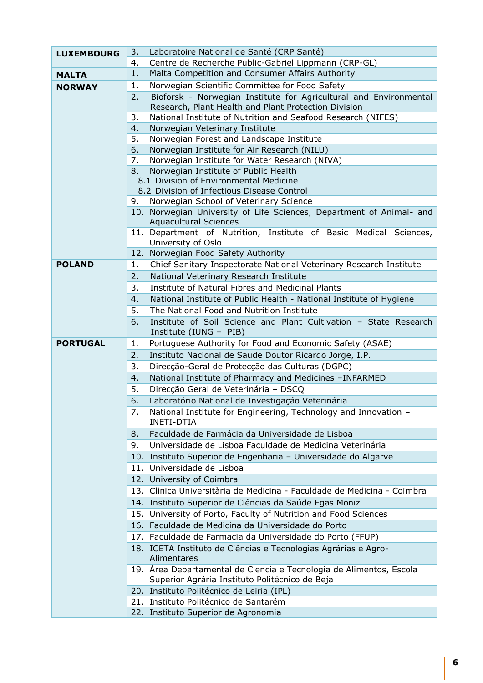| <b>LUXEMBOURG</b> | 3.  | Laboratoire National de Santé (CRP Santé)                                                                                 |
|-------------------|-----|---------------------------------------------------------------------------------------------------------------------------|
|                   | 4.  | Centre de Recherche Public-Gabriel Lippmann (CRP-GL)                                                                      |
| <b>MALTA</b>      | 1.  | Malta Competition and Consumer Affairs Authority                                                                          |
| <b>NORWAY</b>     | 1.  | Norwegian Scientific Committee for Food Safety                                                                            |
|                   | 2.  | Bioforsk - Norwegian Institute for Agricultural and Environmental<br>Research, Plant Health and Plant Protection Division |
|                   | 3.  | National Institute of Nutrition and Seafood Research (NIFES)                                                              |
|                   | 4.  | Norwegian Veterinary Institute                                                                                            |
|                   | 5.  | Norwegian Forest and Landscape Institute                                                                                  |
|                   | 6.  | Norwegian Institute for Air Research (NILU)                                                                               |
|                   | 7.  | Norwegian Institute for Water Research (NIVA)                                                                             |
|                   | 8.  | Norwegian Institute of Public Health                                                                                      |
|                   |     | 8.1 Division of Environmental Medicine<br>8.2 Division of Infectious Disease Control                                      |
|                   | 9.  | Norwegian School of Veterinary Science                                                                                    |
|                   |     | 10. Norwegian University of Life Sciences, Department of Animal- and                                                      |
|                   |     | <b>Aquacultural Sciences</b>                                                                                              |
|                   |     | 11. Department of Nutrition, Institute of Basic Medical Sciences,                                                         |
|                   |     | University of Oslo                                                                                                        |
|                   |     | 12. Norwegian Food Safety Authority                                                                                       |
| <b>POLAND</b>     | 1.  | Chief Sanitary Inspectorate National Veterinary Research Institute                                                        |
|                   | 2.  | National Veterinary Research Institute                                                                                    |
|                   | 3.  | Institute of Natural Fibres and Medicinal Plants                                                                          |
|                   | 4.  | National Institute of Public Health - National Institute of Hygiene                                                       |
|                   | 5.  | The National Food and Nutrition Institute                                                                                 |
|                   | 6.  | Institute of Soil Science and Plant Cultivation - State Research<br>Institute (IUNG - PIB)                                |
| <b>PORTUGAL</b>   | 1.  | Portuguese Authority for Food and Economic Safety (ASAE)                                                                  |
|                   | 2.  | Instituto Nacional de Saude Doutor Ricardo Jorge, I.P.                                                                    |
|                   | 3.  | Direcção-Geral de Protecção das Culturas (DGPC)                                                                           |
|                   | 4.  | National Institute of Pharmacy and Medicines -INFARMED                                                                    |
|                   | 5.  | Direcção Geral de Veterinária - DSCQ                                                                                      |
|                   | 6.  | Laboratório National de Investigação Veterinária                                                                          |
|                   | 7.  | National Institute for Engineering, Technology and Innovation -<br><b>INETI-DTIA</b>                                      |
|                   | 8.  | Faculdade de Farmácia da Universidade de Lisboa                                                                           |
|                   | 9.  | Universidade de Lisboa Faculdade de Medicina Veterinária                                                                  |
|                   |     | 10. Instituto Superior de Engenharia - Universidade do Algarve                                                            |
|                   |     | 11. Universidade de Lisboa                                                                                                |
|                   | 12. | University of Coimbra                                                                                                     |
|                   |     | 13. Clinica Universitària de Medicina - Faculdade de Medicina - Coimbra                                                   |
|                   |     | 14. Instituto Superior de Ciências da Saúde Egas Moniz                                                                    |
|                   |     | 15. University of Porto, Faculty of Nutrition and Food Sciences                                                           |
|                   |     | 16. Faculdade de Medicina da Universidade do Porto                                                                        |
|                   |     | 17. Faculdade de Farmacia da Universidade do Porto (FFUP)                                                                 |
|                   |     | 18. ICETA Instituto de Ciências e Tecnologias Agrárias e Agro-<br>Alimentares                                             |
|                   |     | 19. Área Departamental de Ciencia e Tecnologia de Alimentos, Escola<br>Superior Agrária Instituto Politécnico de Beja     |
|                   |     | 20. Instituto Politécnico de Leiria (IPL)                                                                                 |
|                   |     | 21. Instituto Politécnico de Santarém                                                                                     |
|                   |     | 22. Instituto Superior de Agronomia                                                                                       |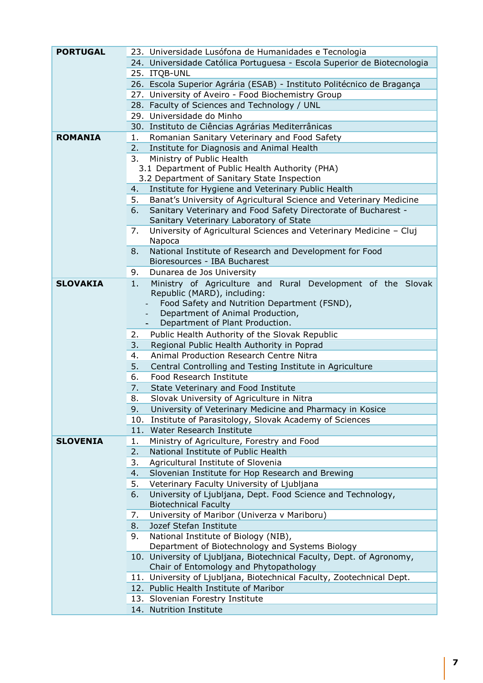| <b>PORTUGAL</b> |     |                                                                                                           |
|-----------------|-----|-----------------------------------------------------------------------------------------------------------|
|                 |     | 23. Universidade Lusófona de Humanidades e Tecnologia                                                     |
|                 |     | 24. Universidade Católica Portuguesa - Escola Superior de Biotecnologia                                   |
|                 |     | 25. ITQB-UNL                                                                                              |
|                 |     | 26. Escola Superior Agrária (ESAB) - Instituto Politécnico de Bragança                                    |
|                 |     | 27. University of Aveiro - Food Biochemistry Group                                                        |
|                 |     | 28. Faculty of Sciences and Technology / UNL                                                              |
|                 |     | 29. Universidade do Minho                                                                                 |
|                 |     | 30. Instituto de Ciências Agrárias Mediterrânicas                                                         |
| <b>ROMANIA</b>  | 1.  | Romanian Sanitary Veterinary and Food Safety                                                              |
|                 | 2.  | Institute for Diagnosis and Animal Health                                                                 |
|                 | 3.  | Ministry of Public Health                                                                                 |
|                 |     | 3.1 Department of Public Health Authority (PHA)                                                           |
|                 |     | 3.2 Department of Sanitary State Inspection                                                               |
|                 | 4.  | Institute for Hygiene and Veterinary Public Health                                                        |
|                 | 5.  | Banat's University of Agricultural Science and Veterinary Medicine                                        |
|                 | 6.  | Sanitary Veterinary and Food Safety Directorate of Bucharest -<br>Sanitary Veterinary Laboratory of State |
|                 | 7.  | University of Agricultural Sciences and Veterinary Medicine - Cluj                                        |
|                 |     | Napoca                                                                                                    |
|                 | 8.  | National Institute of Research and Development for Food                                                   |
|                 |     | Bioresources - IBA Bucharest                                                                              |
|                 | 9.  | Dunarea de Jos University                                                                                 |
| <b>SLOVAKIA</b> | 1.  | Ministry of Agriculture and Rural Development of the Slovak                                               |
|                 |     | Republic (MARD), including:                                                                               |
|                 |     | Food Safety and Nutrition Department (FSND),                                                              |
|                 |     | Department of Animal Production,                                                                          |
|                 |     | Department of Plant Production.                                                                           |
|                 | 2.  | Public Health Authority of the Slovak Republic                                                            |
|                 | 3.  | Regional Public Health Authority in Poprad                                                                |
|                 | 4.  | Animal Production Research Centre Nitra                                                                   |
|                 | 5.  | Central Controlling and Testing Institute in Agriculture                                                  |
|                 | 6.  | Food Research Institute                                                                                   |
|                 | 7.  | State Veterinary and Food Institute                                                                       |
|                 | 8.  | Slovak University of Agriculture in Nitra                                                                 |
|                 | 9.  | University of Veterinary Medicine and Pharmacy in Kosice                                                  |
|                 | 10. | Institute of Parasitology, Slovak Academy of Sciences                                                     |
|                 | 11. | Water Research Institute                                                                                  |
| <b>SLOVENIA</b> | 1.  | Ministry of Agriculture, Forestry and Food                                                                |
|                 | 2.  | National Institute of Public Health                                                                       |
|                 | 3.  | Agricultural Institute of Slovenia                                                                        |
|                 | 4.  | Slovenian Institute for Hop Research and Brewing                                                          |
|                 | 5.  | Veterinary Faculty University of Ljubljana                                                                |
|                 | 6.  | University of Ljubljana, Dept. Food Science and Technology,                                               |
|                 |     | <b>Biotechnical Faculty</b>                                                                               |
|                 | 7.  | University of Maribor (Univerza v Mariboru)                                                               |
|                 | 8.  | Jozef Stefan Institute                                                                                    |
|                 | 9.  | National Institute of Biology (NIB),                                                                      |
|                 |     | Department of Biotechnology and Systems Biology                                                           |
|                 |     | 10. University of Ljubljana, Biotechnical Faculty, Dept. of Agronomy,                                     |
|                 |     | Chair of Entomology and Phytopathology                                                                    |
|                 |     | 11. University of Ljubljana, Biotechnical Faculty, Zootechnical Dept.                                     |
|                 |     | 12. Public Health Institute of Maribor                                                                    |
|                 |     | 13. Slovenian Forestry Institute                                                                          |
|                 |     | 14. Nutrition Institute                                                                                   |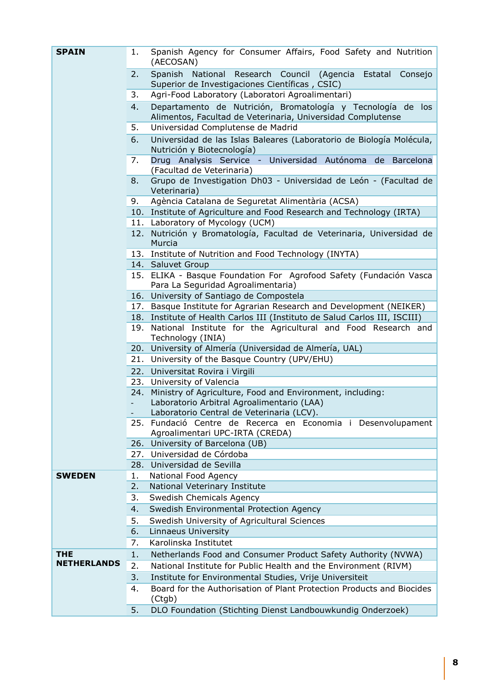| <b>SPAIN</b>       | 1. | Spanish Agency for Consumer Affairs, Food Safety and Nutrition<br>(AECOSAN)                                                |
|--------------------|----|----------------------------------------------------------------------------------------------------------------------------|
|                    | 2. | Spanish National Research Council<br>(Agencia<br>Estatal<br>Consejo<br>Superior de Investigaciones Científicas, CSIC)      |
|                    | 3. | Agri-Food Laboratory (Laboratori Agroalimentari)                                                                           |
|                    | 4. | Departamento de Nutrición, Bromatología y Tecnología de los<br>Alimentos, Facultad de Veterinaria, Universidad Complutense |
|                    | 5. | Universidad Complutense de Madrid                                                                                          |
|                    | 6. | Universidad de las Islas Baleares (Laboratorio de Biología Molécula,<br>Nutrición y Biotecnología)                         |
|                    | 7. | Drug Analysis Service - Universidad Autónoma de Barcelona<br>(Facultad de Veterinaria)                                     |
|                    | 8. | Grupo de Investigation Dh03 - Universidad de León - (Facultad de<br>Veterinaria)                                           |
|                    | 9. | Agència Catalana de Seguretat Alimentària (ACSA)                                                                           |
|                    |    | 10. Institute of Agriculture and Food Research and Technology (IRTA)                                                       |
|                    |    | 11. Laboratory of Mycology (UCM)                                                                                           |
|                    |    | 12. Nutrición y Bromatología, Facultad de Veterinaria, Universidad de<br>Murcia                                            |
|                    |    | 13. Institute of Nutrition and Food Technology (INYTA)                                                                     |
|                    |    | 14. Saluvet Group                                                                                                          |
|                    |    | 15. ELIKA - Basque Foundation For Agrofood Safety (Fundación Vasca<br>Para La Seguridad Agroalimentaria)                   |
|                    |    | 16. University of Santiago de Compostela                                                                                   |
|                    |    | 17. Basque Institute for Agrarian Research and Development (NEIKER)                                                        |
|                    |    | 18. Institute of Health Carlos III (Instituto de Salud Carlos III, ISCIII)                                                 |
|                    |    | 19. National Institute for the Agricultural and Food Research and<br>Technology (INIA)                                     |
|                    |    | 20. University of Almería (Universidad de Almería, UAL)                                                                    |
|                    |    | 21. University of the Basque Country (UPV/EHU)                                                                             |
|                    |    | 22. Universitat Rovira i Virgili                                                                                           |
|                    |    | 23. University of Valencia                                                                                                 |
|                    |    | 24. Ministry of Agriculture, Food and Environment, including:                                                              |
|                    |    | Laboratorio Arbitral Agroalimentario (LAA)                                                                                 |
|                    |    | Laboratorio Central de Veterinaria (LCV).                                                                                  |
|                    |    | 25. Fundació Centre de Recerca en Economia i Desenvolupament<br>Agroalimentari UPC-IRTA (CREDA)                            |
|                    |    | 26. University of Barcelona (UB)                                                                                           |
|                    |    | 27. Universidad de Córdoba                                                                                                 |
|                    |    | 28. Universidad de Sevilla                                                                                                 |
| <b>SWEDEN</b>      | 1. | National Food Agency                                                                                                       |
|                    | 2. | National Veterinary Institute                                                                                              |
|                    | 3. | Swedish Chemicals Agency                                                                                                   |
|                    | 4. | Swedish Environmental Protection Agency                                                                                    |
|                    | 5. | Swedish University of Agricultural Sciences                                                                                |
|                    | 6. | Linnaeus University                                                                                                        |
|                    | 7. | Karolinska Institutet                                                                                                      |
| <b>THE</b>         | 1. | Netherlands Food and Consumer Product Safety Authority (NVWA)                                                              |
| <b>NETHERLANDS</b> | 2. | National Institute for Public Health and the Environment (RIVM)                                                            |
|                    | 3. | Institute for Environmental Studies, Vrije Universiteit                                                                    |
|                    | 4. | Board for the Authorisation of Plant Protection Products and Biocides<br>(Ctgb)                                            |
|                    | 5. | DLO Foundation (Stichting Dienst Landbouwkundig Onderzoek)                                                                 |